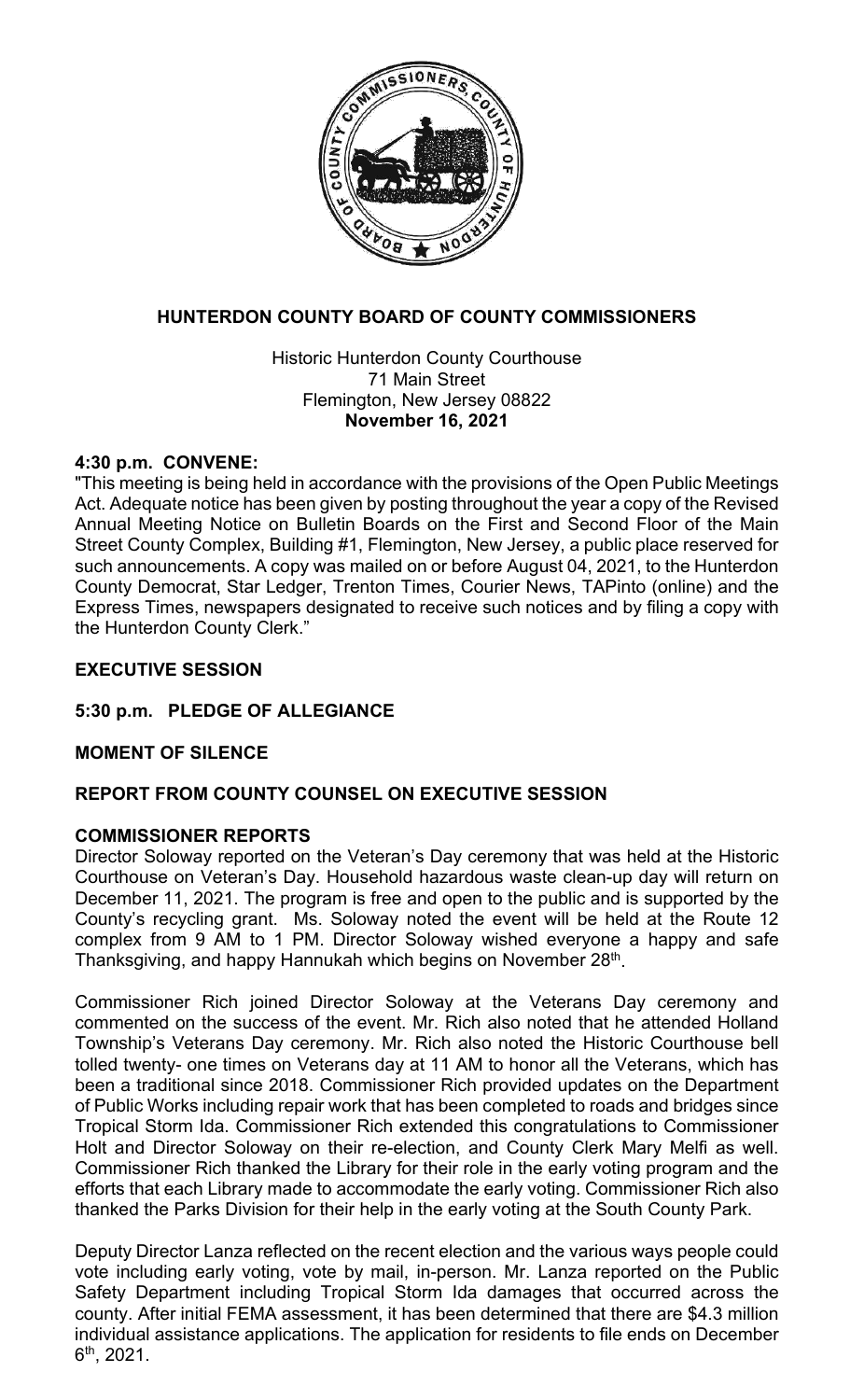

# **HUNTERDON COUNTY BOARD OF COUNTY COMMISSIONERS**

Historic Hunterdon County Courthouse 71 Main Street Flemington, New Jersey 08822 **November 16, 2021**

# **4:30 p.m. CONVENE:**

"This meeting is being held in accordance with the provisions of the Open Public Meetings Act. Adequate notice has been given by posting throughout the year a copy of the Revised Annual Meeting Notice on Bulletin Boards on the First and Second Floor of the Main Street County Complex, Building #1, Flemington, New Jersey, a public place reserved for such announcements. A copy was mailed on or before August 04, 2021, to the Hunterdon County Democrat, Star Ledger, Trenton Times, Courier News, TAPinto (online) and the Express Times, newspapers designated to receive such notices and by filing a copy with the Hunterdon County Clerk."

# **EXECUTIVE SESSION**

# **5:30 p.m. PLEDGE OF ALLEGIANCE**

# **MOMENT OF SILENCE**

# **REPORT FROM COUNTY COUNSEL ON EXECUTIVE SESSION**

# **COMMISSIONER REPORTS**

Director Soloway reported on the Veteran's Day ceremony that was held at the Historic Courthouse on Veteran's Day. Household hazardous waste clean-up day will return on December 11, 2021. The program is free and open to the public and is supported by the County's recycling grant. Ms. Soloway noted the event will be held at the Route 12 complex from 9 AM to 1 PM. Director Soloway wished everyone a happy and safe Thanksgiving, and happy Hannukah which begins on November 28<sup>th</sup>.

Commissioner Rich joined Director Soloway at the Veterans Day ceremony and commented on the success of the event. Mr. Rich also noted that he attended Holland Township's Veterans Day ceremony. Mr. Rich also noted the Historic Courthouse bell tolled twenty- one times on Veterans day at 11 AM to honor all the Veterans, which has been a traditional since 2018. Commissioner Rich provided updates on the Department of Public Works including repair work that has been completed to roads and bridges since Tropical Storm Ida. Commissioner Rich extended this congratulations to Commissioner Holt and Director Soloway on their re-election, and County Clerk Mary Melfi as well. Commissioner Rich thanked the Library for their role in the early voting program and the efforts that each Library made to accommodate the early voting. Commissioner Rich also thanked the Parks Division for their help in the early voting at the South County Park.

Deputy Director Lanza reflected on the recent election and the various ways people could vote including early voting, vote by mail, in-person. Mr. Lanza reported on the Public Safety Department including Tropical Storm Ida damages that occurred across the county. After initial FEMA assessment, it has been determined that there are \$4.3 million individual assistance applications. The application for residents to file ends on December 6th, 2021.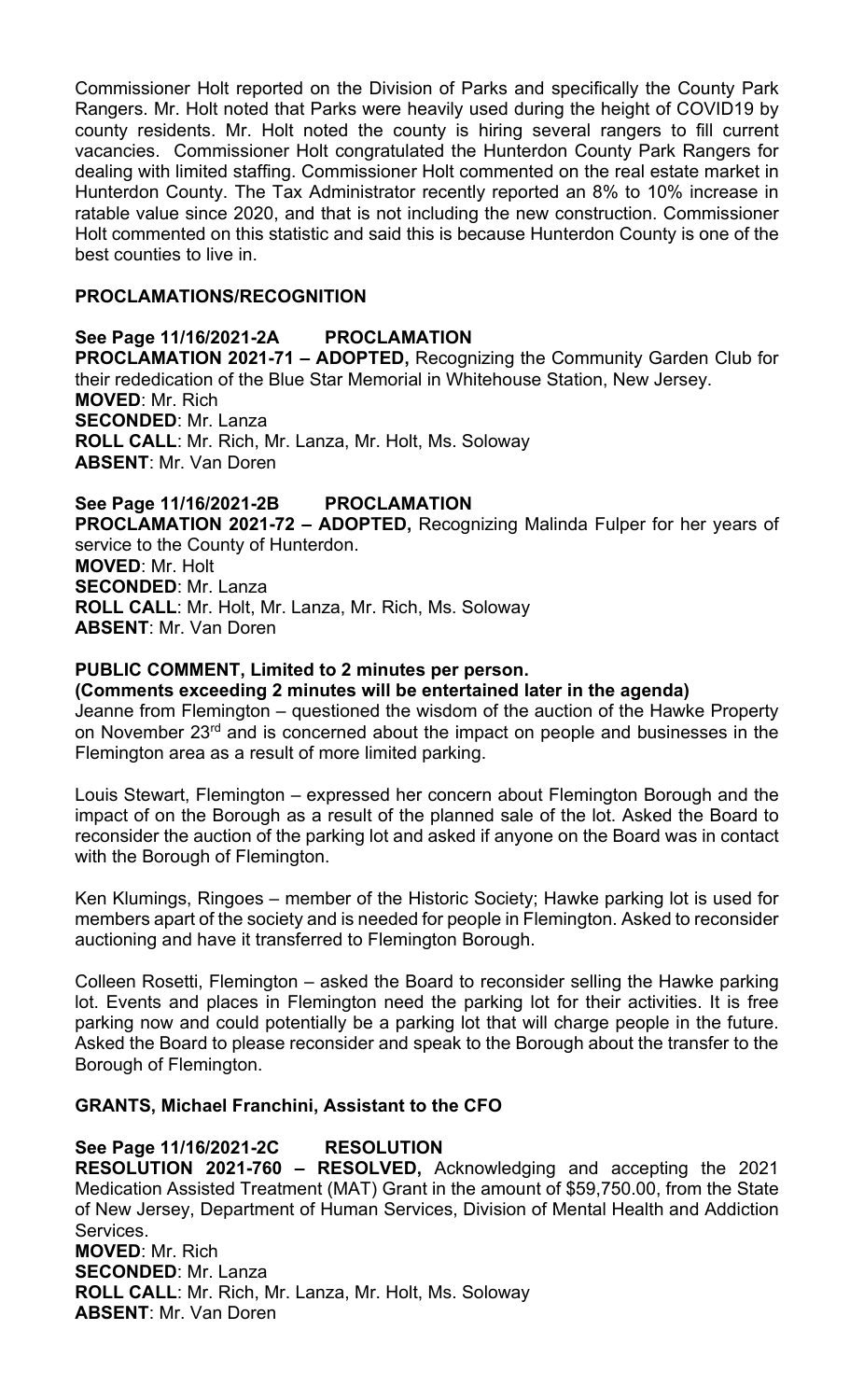Commissioner Holt reported on the Division of Parks and specifically the County Park Rangers. Mr. Holt noted that Parks were heavily used during the height of COVID19 by county residents. Mr. Holt noted the county is hiring several rangers to fill current vacancies. Commissioner Holt congratulated the Hunterdon County Park Rangers for dealing with limited staffing. Commissioner Holt commented on the real estate market in Hunterdon County. The Tax Administrator recently reported an 8% to 10% increase in ratable value since 2020, and that is not including the new construction. Commissioner Holt commented on this statistic and said this is because Hunterdon County is one of the best counties to live in.

# **PROCLAMATIONS/RECOGNITION**

**See Page 11/16/2021-2A PROCLAMATION PROCLAMATION 2021-71 – ADOPTED,** Recognizing the Community Garden Club for their rededication of the Blue Star Memorial in Whitehouse Station, New Jersey. **MOVED**: Mr. Rich **SECONDED**: Mr. Lanza **ROLL CALL**: Mr. Rich, Mr. Lanza, Mr. Holt, Ms. Soloway **ABSENT**: Mr. Van Doren

**See Page 11/16/2021-2B PROCLAMATION PROCLAMATION 2021-72 – ADOPTED,** Recognizing Malinda Fulper for her years of service to the County of Hunterdon. **MOVED**: Mr. Holt **SECONDED**: Mr. Lanza **ROLL CALL**: Mr. Holt, Mr. Lanza, Mr. Rich, Ms. Soloway **ABSENT**: Mr. Van Doren

### **PUBLIC COMMENT, Limited to 2 minutes per person.**

#### **(Comments exceeding 2 minutes will be entertained later in the agenda)**

Jeanne from Flemington – questioned the wisdom of the auction of the Hawke Property on November 23rd and is concerned about the impact on people and businesses in the Flemington area as a result of more limited parking.

Louis Stewart, Flemington – expressed her concern about Flemington Borough and the impact of on the Borough as a result of the planned sale of the lot. Asked the Board to reconsider the auction of the parking lot and asked if anyone on the Board was in contact with the Borough of Flemington.

Ken Klumings, Ringoes – member of the Historic Society; Hawke parking lot is used for members apart of the society and is needed for people in Flemington. Asked to reconsider auctioning and have it transferred to Flemington Borough.

Colleen Rosetti, Flemington – asked the Board to reconsider selling the Hawke parking lot. Events and places in Flemington need the parking lot for their activities. It is free parking now and could potentially be a parking lot that will charge people in the future. Asked the Board to please reconsider and speak to the Borough about the transfer to the Borough of Flemington.

#### **GRANTS, Michael Franchini, Assistant to the CFO**

#### **See Page 11/16/2021-2C RESOLUTION**

**RESOLUTION 2021-760 – RESOLVED,** Acknowledging and accepting the 2021 Medication Assisted Treatment (MAT) Grant in the amount of \$59,750.00, from the State of New Jersey, Department of Human Services, Division of Mental Health and Addiction Services. **MOVED**: Mr. Rich

**SECONDED**: Mr. Lanza **ROLL CALL**: Mr. Rich, Mr. Lanza, Mr. Holt, Ms. Soloway **ABSENT**: Mr. Van Doren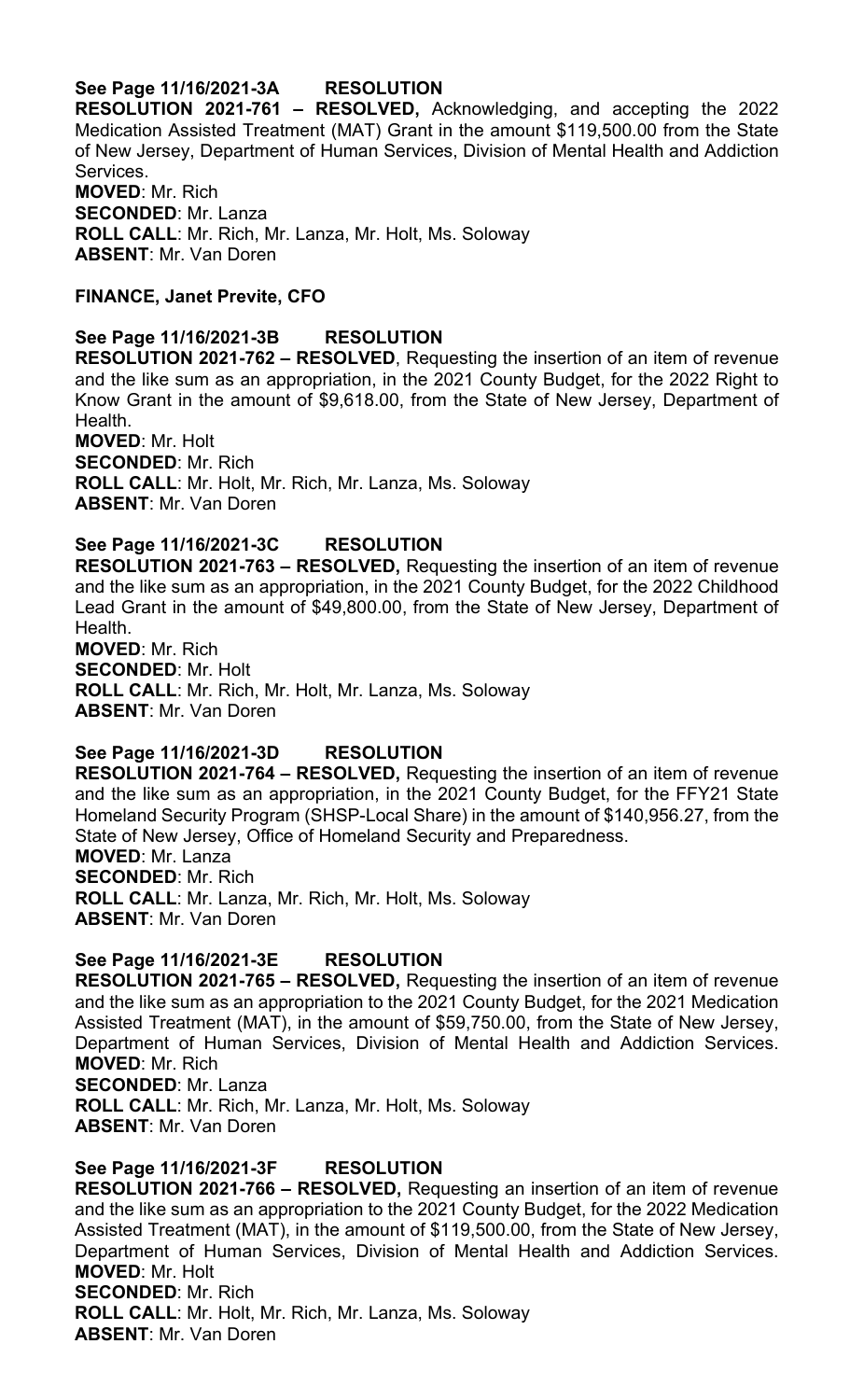# **See Page 11/16/2021-3A RESOLUTION**

**RESOLUTION 2021-761 – RESOLVED,** Acknowledging, and accepting the 2022 Medication Assisted Treatment (MAT) Grant in the amount \$119,500.00 from the State of New Jersey, Department of Human Services, Division of Mental Health and Addiction Services. **MOVED**: Mr. Rich **SECONDED**: Mr. Lanza **ROLL CALL**: Mr. Rich, Mr. Lanza, Mr. Holt, Ms. Soloway

**ABSENT**: Mr. Van Doren

# **FINANCE, Janet Previte, CFO**

### **See Page 11/16/2021-3B RESOLUTION**

**RESOLUTION 2021-762 – RESOLVED**, Requesting the insertion of an item of revenue and the like sum as an appropriation, in the 2021 County Budget, for the 2022 Right to Know Grant in the amount of \$9,618.00, from the State of New Jersey, Department of Health.

**MOVED**: Mr. Holt **SECONDED**: Mr. Rich **ROLL CALL**: Mr. Holt, Mr. Rich, Mr. Lanza, Ms. Soloway **ABSENT**: Mr. Van Doren

### **See Page 11/16/2021-3C RESOLUTION**

**RESOLUTION 2021-763 – RESOLVED,** Requesting the insertion of an item of revenue and the like sum as an appropriation, in the 2021 County Budget, for the 2022 Childhood Lead Grant in the amount of \$49,800.00, from the State of New Jersey, Department of Health.

**MOVED**: Mr. Rich **SECONDED**: Mr. Holt **ROLL CALL**: Mr. Rich, Mr. Holt, Mr. Lanza, Ms. Soloway **ABSENT**: Mr. Van Doren

**See Page 11/16/2021-3D RESOLUTION RESOLUTION 2021-764 – RESOLVED,** Requesting the insertion of an item of revenue and the like sum as an appropriation, in the 2021 County Budget, for the FFY21 State Homeland Security Program (SHSP-Local Share) in the amount of \$140,956.27, from the State of New Jersey, Office of Homeland Security and Preparedness. **MOVED**: Mr. Lanza **SECONDED**: Mr. Rich **ROLL CALL**: Mr. Lanza, Mr. Rich, Mr. Holt, Ms. Soloway **ABSENT**: Mr. Van Doren

**See Page 11/16/2021-3E RESOLUTION RESOLUTION 2021-765 – RESOLVED,** Requesting the insertion of an item of revenue and the like sum as an appropriation to the 2021 County Budget, for the 2021 Medication Assisted Treatment (MAT), in the amount of \$59,750.00, from the State of New Jersey, Department of Human Services, Division of Mental Health and Addiction Services. **MOVED**: Mr. Rich **SECONDED**: Mr. Lanza **ROLL CALL**: Mr. Rich, Mr. Lanza, Mr. Holt, Ms. Soloway **ABSENT**: Mr. Van Doren

**See Page 11/16/2021-3F RESOLUTION RESOLUTION 2021-766 – RESOLVED,** Requesting an insertion of an item of revenue and the like sum as an appropriation to the 2021 County Budget, for the 2022 Medication Assisted Treatment (MAT), in the amount of \$119,500.00, from the State of New Jersey, Department of Human Services, Division of Mental Health and Addiction Services. **MOVED**: Mr. Holt **SECONDED**: Mr. Rich **ROLL CALL**: Mr. Holt, Mr. Rich, Mr. Lanza, Ms. Soloway **ABSENT**: Mr. Van Doren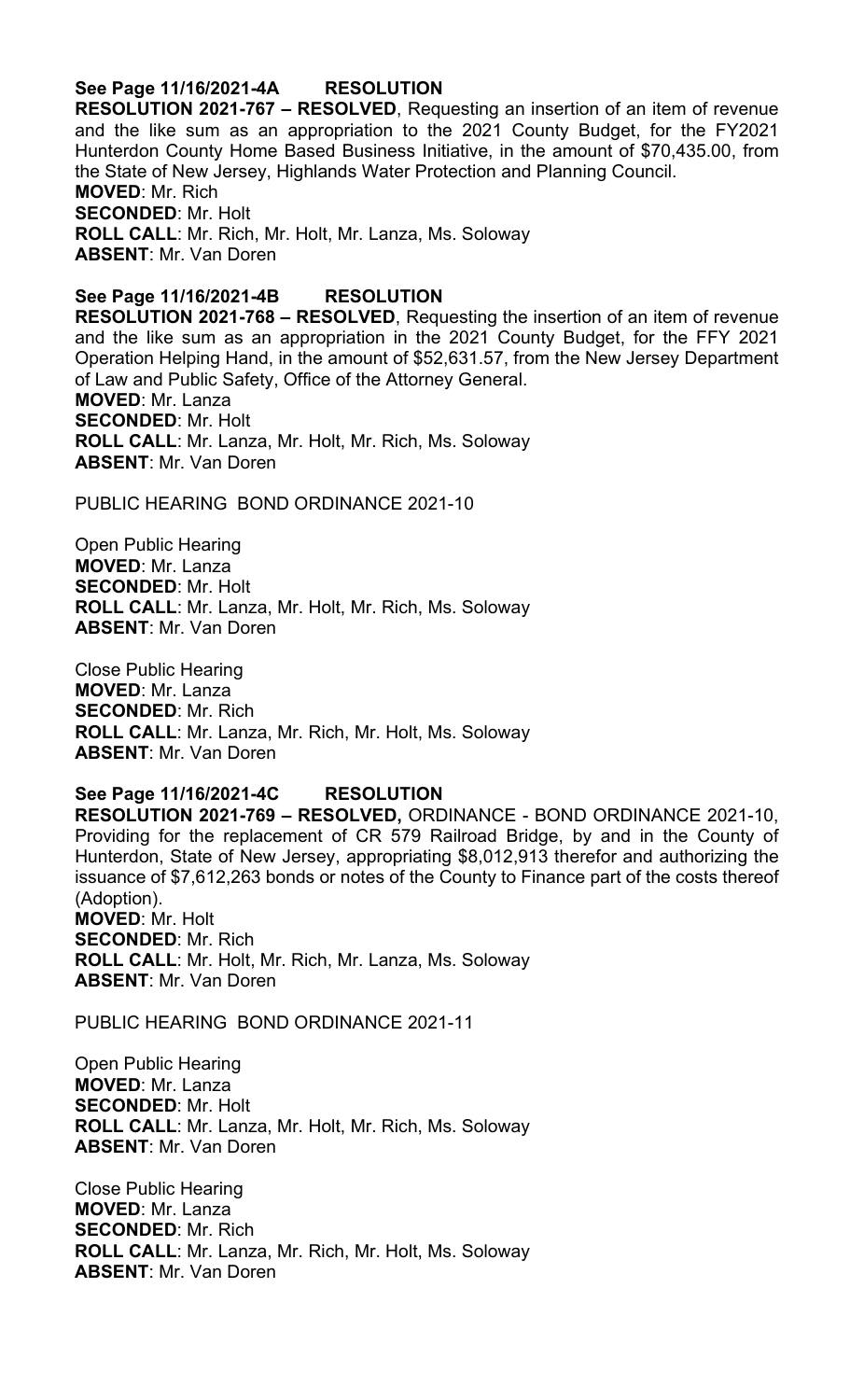# **See Page 11/16/2021-4A RESOLUTION**

**RESOLUTION 2021-767 – RESOLVED**, Requesting an insertion of an item of revenue and the like sum as an appropriation to the 2021 County Budget, for the FY2021 Hunterdon County Home Based Business Initiative, in the amount of \$70,435.00, from the State of New Jersey, Highlands Water Protection and Planning Council. **MOVED**: Mr. Rich **SECONDED**: Mr. Holt **ROLL CALL**: Mr. Rich, Mr. Holt, Mr. Lanza, Ms. Soloway **ABSENT**: Mr. Van Doren

# **See Page 11/16/2021-4B RESOLUTION**

**RESOLUTION 2021-768 – RESOLVED**, Requesting the insertion of an item of revenue and the like sum as an appropriation in the 2021 County Budget, for the FFY 2021 Operation Helping Hand, in the amount of \$52,631.57, from the New Jersey Department of Law and Public Safety, Office of the Attorney General. **MOVED**: Mr. Lanza **SECONDED**: Mr. Holt **ROLL CALL**: Mr. Lanza, Mr. Holt, Mr. Rich, Ms. Soloway **ABSENT**: Mr. Van Doren

PUBLIC HEARING BOND ORDINANCE 2021-10

Open Public Hearing **MOVED**: Mr. Lanza **SECONDED**: Mr. Holt **ROLL CALL**: Mr. Lanza, Mr. Holt, Mr. Rich, Ms. Soloway **ABSENT**: Mr. Van Doren

Close Public Hearing **MOVED**: Mr. Lanza **SECONDED**: Mr. Rich **ROLL CALL**: Mr. Lanza, Mr. Rich, Mr. Holt, Ms. Soloway **ABSENT**: Mr. Van Doren

#### **See Page 11/16/2021-4C RESOLUTION**

**RESOLUTION 2021-769 – RESOLVED,** ORDINANCE - BOND ORDINANCE 2021-10, Providing for the replacement of CR 579 Railroad Bridge, by and in the County of Hunterdon, State of New Jersey, appropriating \$8,012,913 therefor and authorizing the issuance of \$7,612,263 bonds or notes of the County to Finance part of the costs thereof (Adoption). **MOVED**: Mr. Holt **SECONDED**: Mr. Rich **ROLL CALL**: Mr. Holt, Mr. Rich, Mr. Lanza, Ms. Soloway

PUBLIC HEARING BOND ORDINANCE 2021-11

**ABSENT**: Mr. Van Doren

Open Public Hearing **MOVED**: Mr. Lanza **SECONDED**: Mr. Holt **ROLL CALL**: Mr. Lanza, Mr. Holt, Mr. Rich, Ms. Soloway **ABSENT**: Mr. Van Doren

Close Public Hearing **MOVED**: Mr. Lanza **SECONDED**: Mr. Rich **ROLL CALL**: Mr. Lanza, Mr. Rich, Mr. Holt, Ms. Soloway **ABSENT**: Mr. Van Doren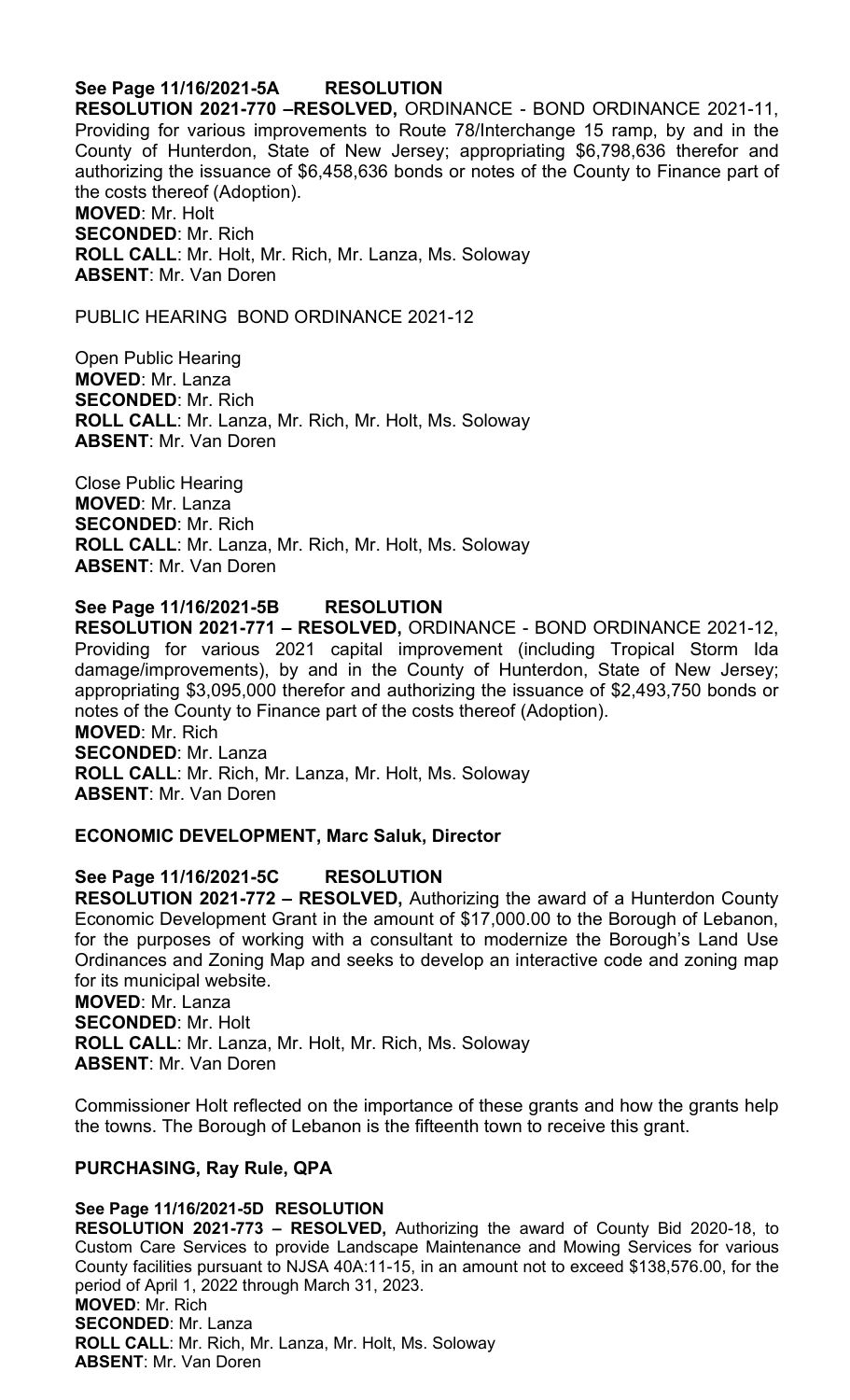### **See Page 11/16/2021-5A RESOLUTION**

**RESOLUTION 2021-770 –RESOLVED,** ORDINANCE - BOND ORDINANCE 2021-11, Providing for various improvements to Route 78/Interchange 15 ramp, by and in the County of Hunterdon, State of New Jersey; appropriating \$6,798,636 therefor and authorizing the issuance of \$6,458,636 bonds or notes of the County to Finance part of the costs thereof (Adoption). **MOVED**: Mr. Holt **SECONDED**: Mr. Rich

**ROLL CALL**: Mr. Holt, Mr. Rich, Mr. Lanza, Ms. Soloway **ABSENT**: Mr. Van Doren

PUBLIC HEARING BOND ORDINANCE 2021-12

Open Public Hearing **MOVED**: Mr. Lanza **SECONDED**: Mr. Rich **ROLL CALL**: Mr. Lanza, Mr. Rich, Mr. Holt, Ms. Soloway **ABSENT**: Mr. Van Doren

Close Public Hearing **MOVED**: Mr. Lanza **SECONDED**: Mr. Rich **ROLL CALL**: Mr. Lanza, Mr. Rich, Mr. Holt, Ms. Soloway **ABSENT**: Mr. Van Doren

#### **See Page 11/16/2021-5B RESOLUTION**

**RESOLUTION 2021-771 – RESOLVED,** ORDINANCE - BOND ORDINANCE 2021-12, Providing for various 2021 capital improvement (including Tropical Storm Ida damage/improvements), by and in the County of Hunterdon, State of New Jersey; appropriating \$3,095,000 therefor and authorizing the issuance of \$2,493,750 bonds or notes of the County to Finance part of the costs thereof (Adoption). **MOVED**: Mr. Rich **SECONDED**: Mr. Lanza **ROLL CALL**: Mr. Rich, Mr. Lanza, Mr. Holt, Ms. Soloway

**ABSENT**: Mr. Van Doren

#### **ECONOMIC DEVELOPMENT, Marc Saluk, Director**

#### **See Page 11/16/2021-5C RESOLUTION**

**RESOLUTION 2021-772 – RESOLVED,** Authorizing the award of a Hunterdon County Economic Development Grant in the amount of \$17,000.00 to the Borough of Lebanon, for the purposes of working with a consultant to modernize the Borough's Land Use Ordinances and Zoning Map and seeks to develop an interactive code and zoning map for its municipal website. **MOVED**: Mr. Lanza **SECONDED**: Mr. Holt

**ROLL CALL**: Mr. Lanza, Mr. Holt, Mr. Rich, Ms. Soloway **ABSENT**: Mr. Van Doren

Commissioner Holt reflected on the importance of these grants and how the grants help the towns. The Borough of Lebanon is the fifteenth town to receive this grant.

#### **PURCHASING, Ray Rule, QPA**

#### **See Page 11/16/2021-5D RESOLUTION**

**RESOLUTION 2021-773 – RESOLVED,** Authorizing the award of County Bid 2020-18, to Custom Care Services to provide Landscape Maintenance and Mowing Services for various County facilities pursuant to NJSA 40A:11-15, in an amount not to exceed \$138,576.00, for the period of April 1, 2022 through March 31, 2023. **MOVED**: Mr. Rich **SECONDED**: Mr. Lanza **ROLL CALL**: Mr. Rich, Mr. Lanza, Mr. Holt, Ms. Soloway **ABSENT**: Mr. Van Doren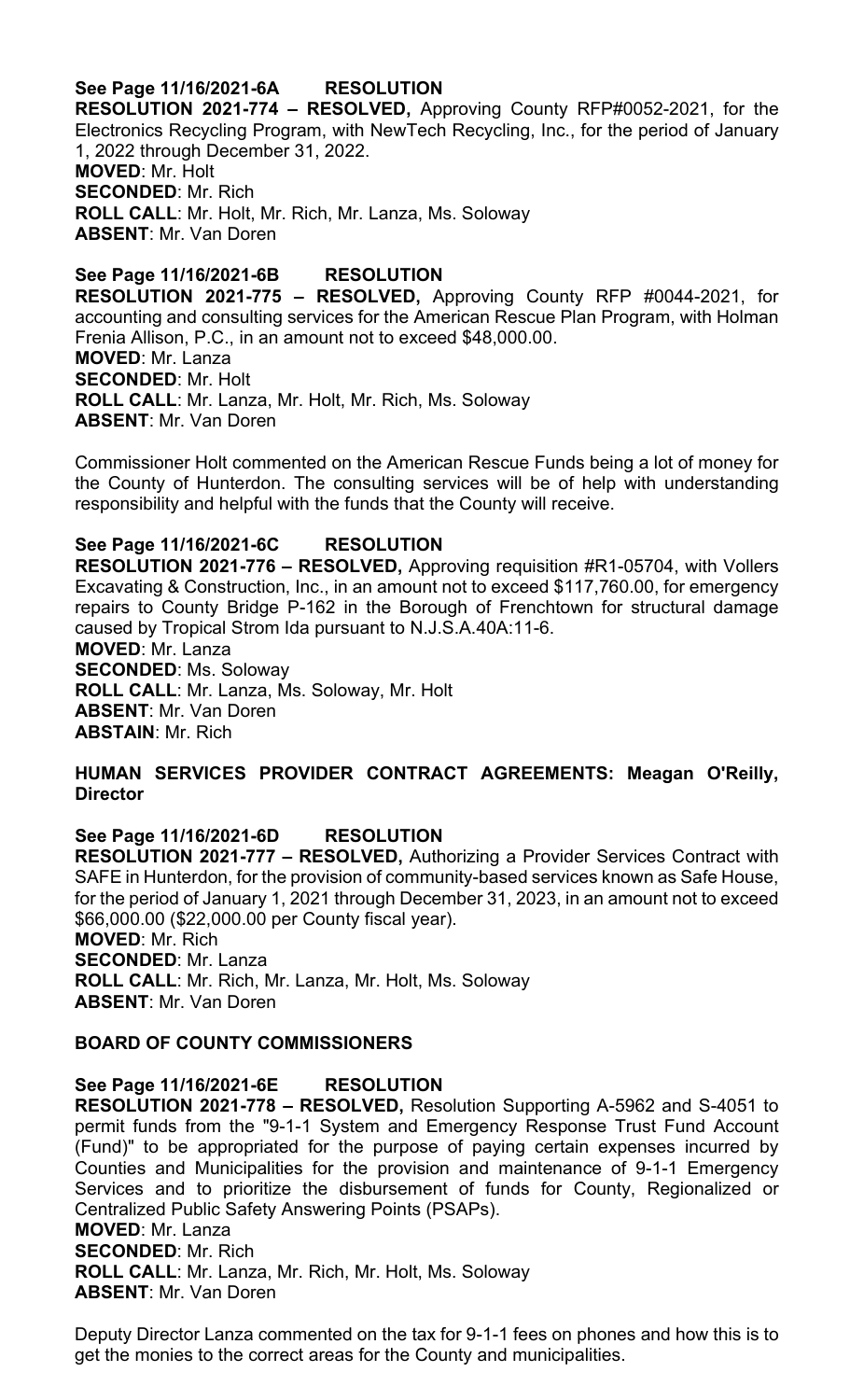# **See Page 11/16/2021-6A RESOLUTION**

**RESOLUTION 2021-774 – RESOLVED,** Approving County RFP#0052-2021, for the Electronics Recycling Program, with NewTech Recycling, Inc., for the period of January 1, 2022 through December 31, 2022.

**MOVED**: Mr. Holt **SECONDED**: Mr. Rich **ROLL CALL**: Mr. Holt, Mr. Rich, Mr. Lanza, Ms. Soloway **ABSENT**: Mr. Van Doren

**See Page 11/16/2021-6B RESOLUTION RESOLUTION 2021-775 – RESOLVED,** Approving County RFP #0044-2021, for accounting and consulting services for the American Rescue Plan Program, with Holman Frenia Allison, P.C., in an amount not to exceed \$48,000.00. **MOVED**: Mr. Lanza **SECONDED**: Mr. Holt **ROLL CALL**: Mr. Lanza, Mr. Holt, Mr. Rich, Ms. Soloway **ABSENT**: Mr. Van Doren

Commissioner Holt commented on the American Rescue Funds being a lot of money for the County of Hunterdon. The consulting services will be of help with understanding responsibility and helpful with the funds that the County will receive.

# **See Page 11/16/2021-6C RESOLUTION**

**RESOLUTION 2021-776 – RESOLVED,** Approving requisition #R1-05704, with Vollers Excavating & Construction, Inc., in an amount not to exceed \$117,760.00, for emergency repairs to County Bridge P-162 in the Borough of Frenchtown for structural damage caused by Tropical Strom Ida pursuant to N.J.S.A.40A:11-6. **MOVED**: Mr. Lanza **SECONDED**: Ms. Soloway **ROLL CALL**: Mr. Lanza, Ms. Soloway, Mr. Holt **ABSENT**: Mr. Van Doren **ABSTAIN**: Mr. Rich

### **HUMAN SERVICES PROVIDER CONTRACT AGREEMENTS: Meagan O'Reilly, Director**

**See Page 11/16/2021-6D RESOLUTION RESOLUTION 2021-777 – RESOLVED,** Authorizing a Provider Services Contract with SAFE in Hunterdon, for the provision of community-based services known as Safe House, for the period of January 1, 2021 through December 31, 2023, in an amount not to exceed \$66,000.00 (\$22,000.00 per County fiscal year). **MOVED**: Mr. Rich **SECONDED**: Mr. Lanza **ROLL CALL**: Mr. Rich, Mr. Lanza, Mr. Holt, Ms. Soloway **ABSENT**: Mr. Van Doren

#### **BOARD OF COUNTY COMMISSIONERS**

#### **See Page 11/16/2021-6E RESOLUTION**

**RESOLUTION 2021-778 – RESOLVED,** Resolution Supporting A-5962 and S-4051 to permit funds from the "9-1-1 System and Emergency Response Trust Fund Account (Fund)" to be appropriated for the purpose of paying certain expenses incurred by Counties and Municipalities for the provision and maintenance of 9-1-1 Emergency Services and to prioritize the disbursement of funds for County, Regionalized or Centralized Public Safety Answering Points (PSAPs). **MOVED**: Mr. Lanza **SECONDED**: Mr. Rich **ROLL CALL**: Mr. Lanza, Mr. Rich, Mr. Holt, Ms. Soloway **ABSENT**: Mr. Van Doren

Deputy Director Lanza commented on the tax for 9-1-1 fees on phones and how this is to get the monies to the correct areas for the County and municipalities.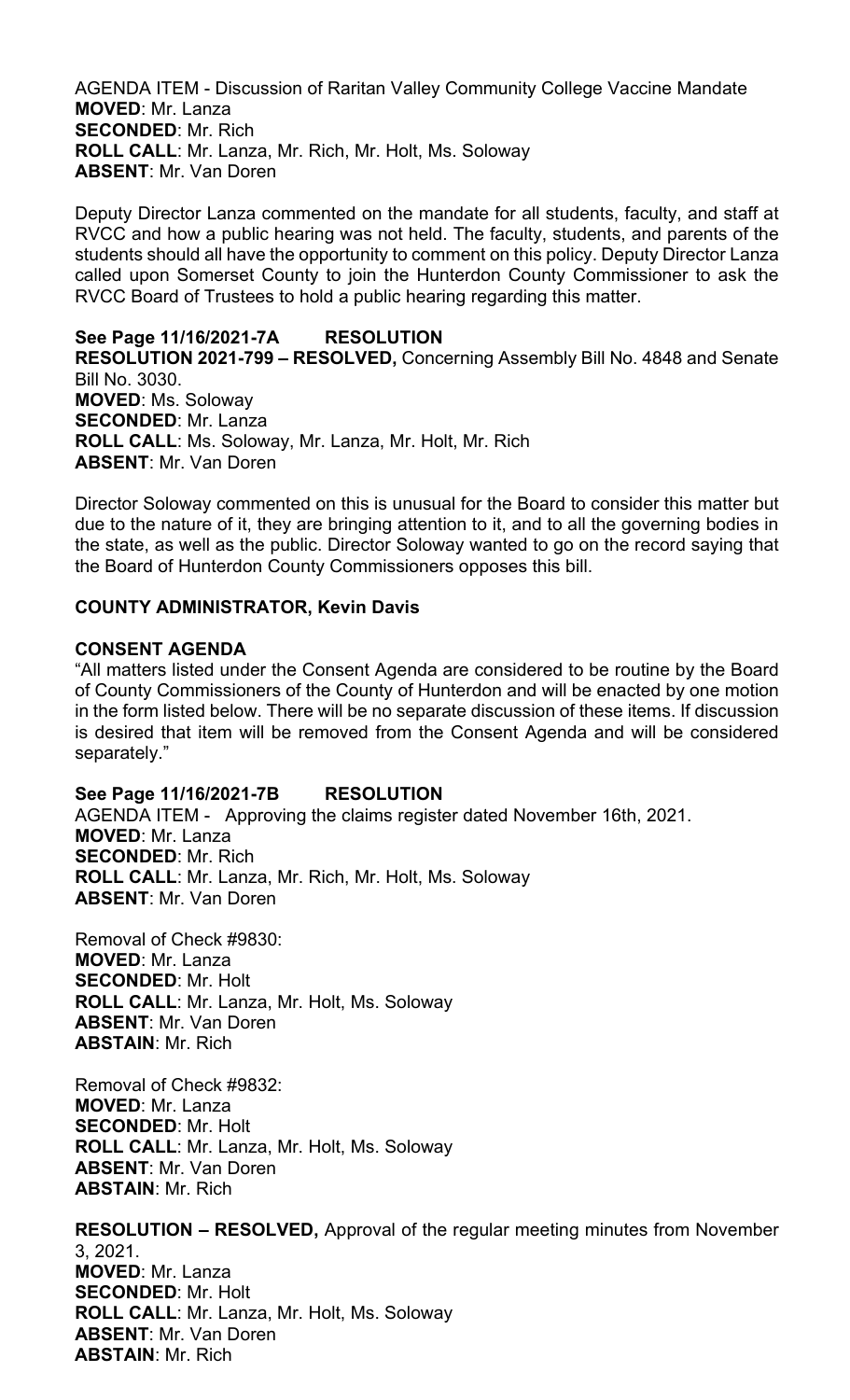AGENDA ITEM - Discussion of Raritan Valley Community College Vaccine Mandate **MOVED**: Mr. Lanza **SECONDED**: Mr. Rich **ROLL CALL**: Mr. Lanza, Mr. Rich, Mr. Holt, Ms. Soloway **ABSENT**: Mr. Van Doren

Deputy Director Lanza commented on the mandate for all students, faculty, and staff at RVCC and how a public hearing was not held. The faculty, students, and parents of the students should all have the opportunity to comment on this policy. Deputy Director Lanza called upon Somerset County to join the Hunterdon County Commissioner to ask the RVCC Board of Trustees to hold a public hearing regarding this matter.

**See Page 11/16/2021-7A RESOLUTION RESOLUTION 2021-799 – RESOLVED,** Concerning Assembly Bill No. 4848 and Senate Bill No. 3030. **MOVED**: Ms. Soloway **SECONDED**: Mr. Lanza **ROLL CALL**: Ms. Soloway, Mr. Lanza, Mr. Holt, Mr. Rich **ABSENT**: Mr. Van Doren

Director Soloway commented on this is unusual for the Board to consider this matter but due to the nature of it, they are bringing attention to it, and to all the governing bodies in the state, as well as the public. Director Soloway wanted to go on the record saying that the Board of Hunterdon County Commissioners opposes this bill.

# **COUNTY ADMINISTRATOR, Kevin Davis**

### **CONSENT AGENDA**

"All matters listed under the Consent Agenda are considered to be routine by the Board of County Commissioners of the County of Hunterdon and will be enacted by one motion in the form listed below. There will be no separate discussion of these items. If discussion is desired that item will be removed from the Consent Agenda and will be considered separately."

# **See Page 11/16/2021-7B RESOLUTION**

AGENDA ITEM - Approving the claims register dated November 16th, 2021. **MOVED**: Mr. Lanza **SECONDED**: Mr. Rich **ROLL CALL**: Mr. Lanza, Mr. Rich, Mr. Holt, Ms. Soloway **ABSENT**: Mr. Van Doren

Removal of Check #9830: **MOVED**: Mr. Lanza **SECONDED**: Mr. Holt **ROLL CALL**: Mr. Lanza, Mr. Holt, Ms. Soloway **ABSENT**: Mr. Van Doren **ABSTAIN**: Mr. Rich

Removal of Check #9832: **MOVED**: Mr. Lanza **SECONDED**: Mr. Holt **ROLL CALL**: Mr. Lanza, Mr. Holt, Ms. Soloway **ABSENT**: Mr. Van Doren **ABSTAIN**: Mr. Rich

**RESOLUTION – RESOLVED,** Approval of the regular meeting minutes from November 3, 2021. **MOVED**: Mr. Lanza **SECONDED**: Mr. Holt **ROLL CALL**: Mr. Lanza, Mr. Holt, Ms. Soloway **ABSENT**: Mr. Van Doren **ABSTAIN**: Mr. Rich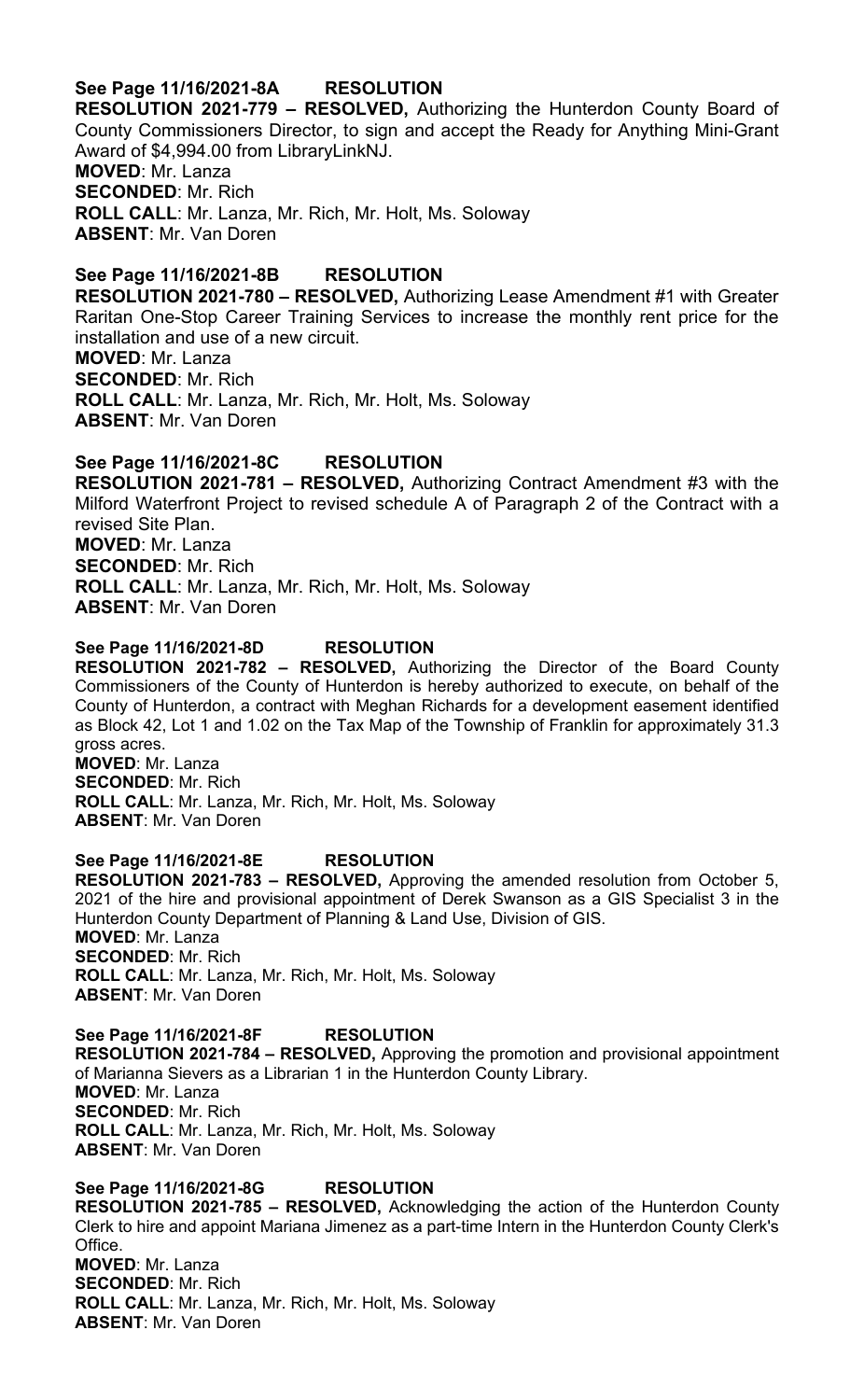# **See Page 11/16/2021-8A RESOLUTION**

**RESOLUTION 2021-779 – RESOLVED,** Authorizing the Hunterdon County Board of County Commissioners Director, to sign and accept the Ready for Anything Mini-Grant Award of \$4,994.00 from LibraryLinkNJ.

**MOVED**: Mr. Lanza **SECONDED**: Mr. Rich **ROLL CALL**: Mr. Lanza, Mr. Rich, Mr. Holt, Ms. Soloway **ABSENT**: Mr. Van Doren

**See Page 11/16/2021-8B RESOLUTION RESOLUTION 2021-780 – RESOLVED,** Authorizing Lease Amendment #1 with Greater Raritan One-Stop Career Training Services to increase the monthly rent price for the installation and use of a new circuit. **MOVED**: Mr. Lanza **SECONDED**: Mr. Rich **ROLL CALL**: Mr. Lanza, Mr. Rich, Mr. Holt, Ms. Soloway **ABSENT**: Mr. Van Doren

### **See Page 11/16/2021-8C RESOLUTION**

**RESOLUTION 2021-781 – RESOLVED,** Authorizing Contract Amendment #3 with the Milford Waterfront Project to revised schedule A of Paragraph 2 of the Contract with a revised Site Plan. **MOVED**: Mr. Lanza **SECONDED**: Mr. Rich **ROLL CALL**: Mr. Lanza, Mr. Rich, Mr. Holt, Ms. Soloway **ABSENT**: Mr. Van Doren

#### **See Page 11/16/2021-8D RESOLUTION**

**RESOLUTION 2021-782 – RESOLVED,** Authorizing the Director of the Board County Commissioners of the County of Hunterdon is hereby authorized to execute, on behalf of the County of Hunterdon, a contract with Meghan Richards for a development easement identified as Block 42, Lot 1 and 1.02 on the Tax Map of the Township of Franklin for approximately 31.3 gross acres. **MOVED**: Mr. Lanza

**SECONDED**: Mr. Rich **ROLL CALL**: Mr. Lanza, Mr. Rich, Mr. Holt, Ms. Soloway **ABSENT**: Mr. Van Doren

#### **See Page 11/16/2021-8E RESOLUTION**

**RESOLUTION 2021-783 – RESOLVED,** Approving the amended resolution from October 5, 2021 of the hire and provisional appointment of Derek Swanson as a GIS Specialist 3 in the Hunterdon County Department of Planning & Land Use, Division of GIS. **MOVED**: Mr. Lanza **SECONDED**: Mr. Rich **ROLL CALL**: Mr. Lanza, Mr. Rich, Mr. Holt, Ms. Soloway

**ABSENT**: Mr. Van Doren

#### **See Page 11/16/2021-8F RESOLUTION**

**RESOLUTION 2021-784 – RESOLVED,** Approving the promotion and provisional appointment of Marianna Sievers as a Librarian 1 in the Hunterdon County Library. **MOVED**: Mr. Lanza **SECONDED**: Mr. Rich **ROLL CALL**: Mr. Lanza, Mr. Rich, Mr. Holt, Ms. Soloway **ABSENT**: Mr. Van Doren

**See Page 11/16/2021-8G RESOLUTION RESOLUTION 2021-785 – RESOLVED,** Acknowledging the action of the Hunterdon County Clerk to hire and appoint Mariana Jimenez as a part-time Intern in the Hunterdon County Clerk's Office. **MOVED**: Mr. Lanza **SECONDED**: Mr. Rich **ROLL CALL**: Mr. Lanza, Mr. Rich, Mr. Holt, Ms. Soloway **ABSENT**: Mr. Van Doren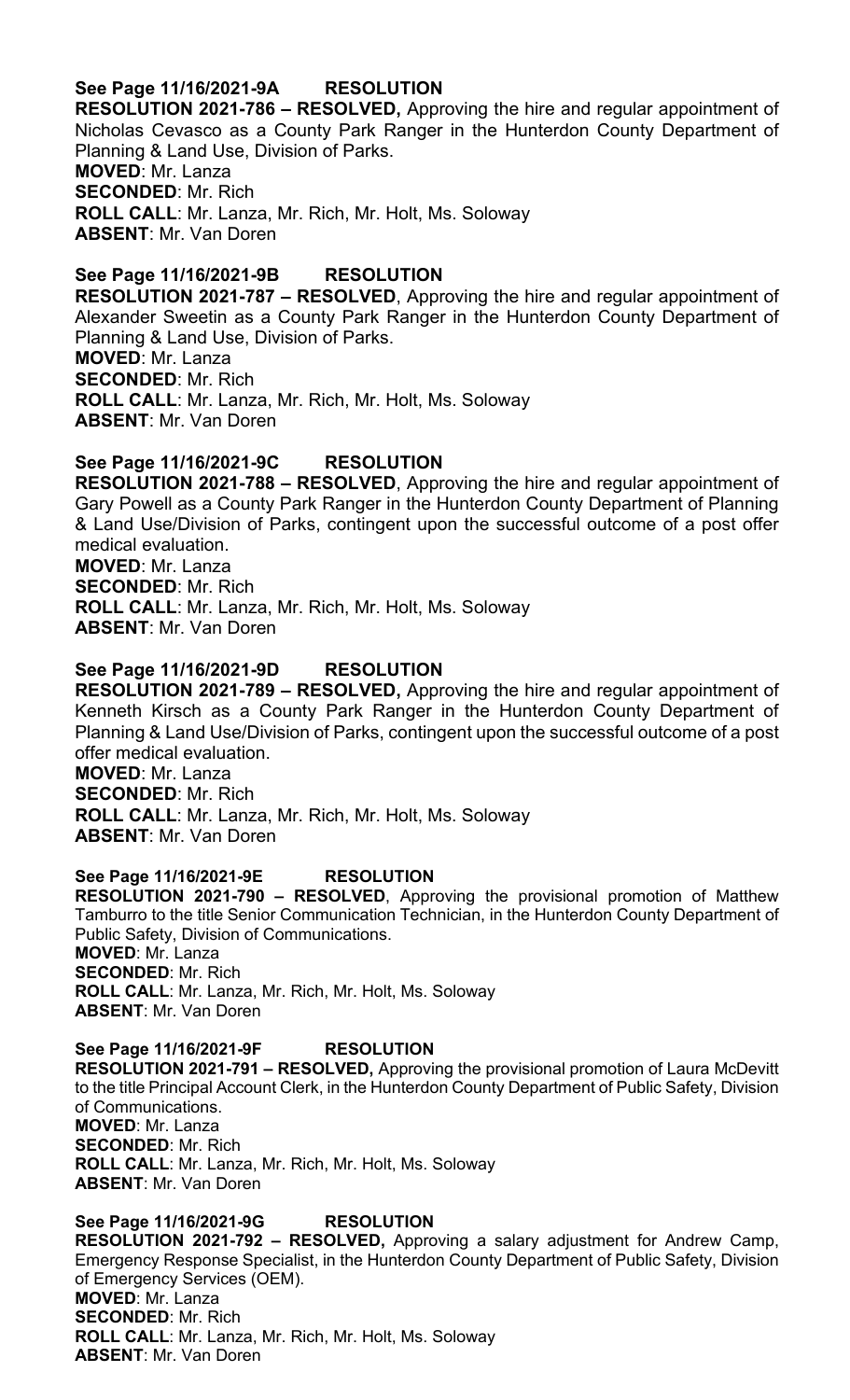### **See Page 11/16/2021-9A RESOLUTION**

**RESOLUTION 2021-786 – RESOLVED,** Approving the hire and regular appointment of Nicholas Cevasco as a County Park Ranger in the Hunterdon County Department of Planning & Land Use, Division of Parks. **MOVED**: Mr. Lanza **SECONDED**: Mr. Rich **ROLL CALL**: Mr. Lanza, Mr. Rich, Mr. Holt, Ms. Soloway **ABSENT**: Mr. Van Doren

**See Page 11/16/2021-9B RESOLUTION RESOLUTION 2021-787 – RESOLVED**, Approving the hire and regular appointment of Alexander Sweetin as a County Park Ranger in the Hunterdon County Department of Planning & Land Use, Division of Parks. **MOVED**: Mr. Lanza **SECONDED**: Mr. Rich **ROLL CALL**: Mr. Lanza, Mr. Rich, Mr. Holt, Ms. Soloway **ABSENT**: Mr. Van Doren

#### **See Page 11/16/2021-9C RESOLUTION**

**RESOLUTION 2021-788 – RESOLVED**, Approving the hire and regular appointment of Gary Powell as a County Park Ranger in the Hunterdon County Department of Planning & Land Use/Division of Parks, contingent upon the successful outcome of a post offer medical evaluation. **MOVED**: Mr. Lanza **SECONDED**: Mr. Rich **ROLL CALL**: Mr. Lanza, Mr. Rich, Mr. Holt, Ms. Soloway **ABSENT**: Mr. Van Doren

### **See Page 11/16/2021-9D RESOLUTION**

**RESOLUTION 2021-789 – RESOLVED,** Approving the hire and regular appointment of Kenneth Kirsch as a County Park Ranger in the Hunterdon County Department of Planning & Land Use/Division of Parks, contingent upon the successful outcome of a post offer medical evaluation. **MOVED**: Mr. Lanza **SECONDED**: Mr. Rich **ROLL CALL**: Mr. Lanza, Mr. Rich, Mr. Holt, Ms. Soloway **ABSENT**: Mr. Van Doren

#### **See Page 11/16/2021-9E RESOLUTION**

**RESOLUTION 2021-790 – RESOLVED**, Approving the provisional promotion of Matthew Tamburro to the title Senior Communication Technician, in the Hunterdon County Department of Public Safety, Division of Communications. **MOVED**: Mr. Lanza **SECONDED**: Mr. Rich **ROLL CALL**: Mr. Lanza, Mr. Rich, Mr. Holt, Ms. Soloway **ABSENT**: Mr. Van Doren

**See Page 11/16/2021-9F RESOLUTION RESOLUTION 2021-791 – RESOLVED,** Approving the provisional promotion of Laura McDevitt to the title Principal Account Clerk, in the Hunterdon County Department of Public Safety, Division of Communications. **MOVED**: Mr. Lanza **SECONDED**: Mr. Rich **ROLL CALL**: Mr. Lanza, Mr. Rich, Mr. Holt, Ms. Soloway **ABSENT**: Mr. Van Doren

**See Page 11/16/2021-9G RESOLUTION RESOLUTION 2021-792 – RESOLVED,** Approving a salary adjustment for Andrew Camp, Emergency Response Specialist, in the Hunterdon County Department of Public Safety, Division of Emergency Services (OEM). **MOVED**: Mr. Lanza **SECONDED**: Mr. Rich **ROLL CALL**: Mr. Lanza, Mr. Rich, Mr. Holt, Ms. Soloway **ABSENT**: Mr. Van Doren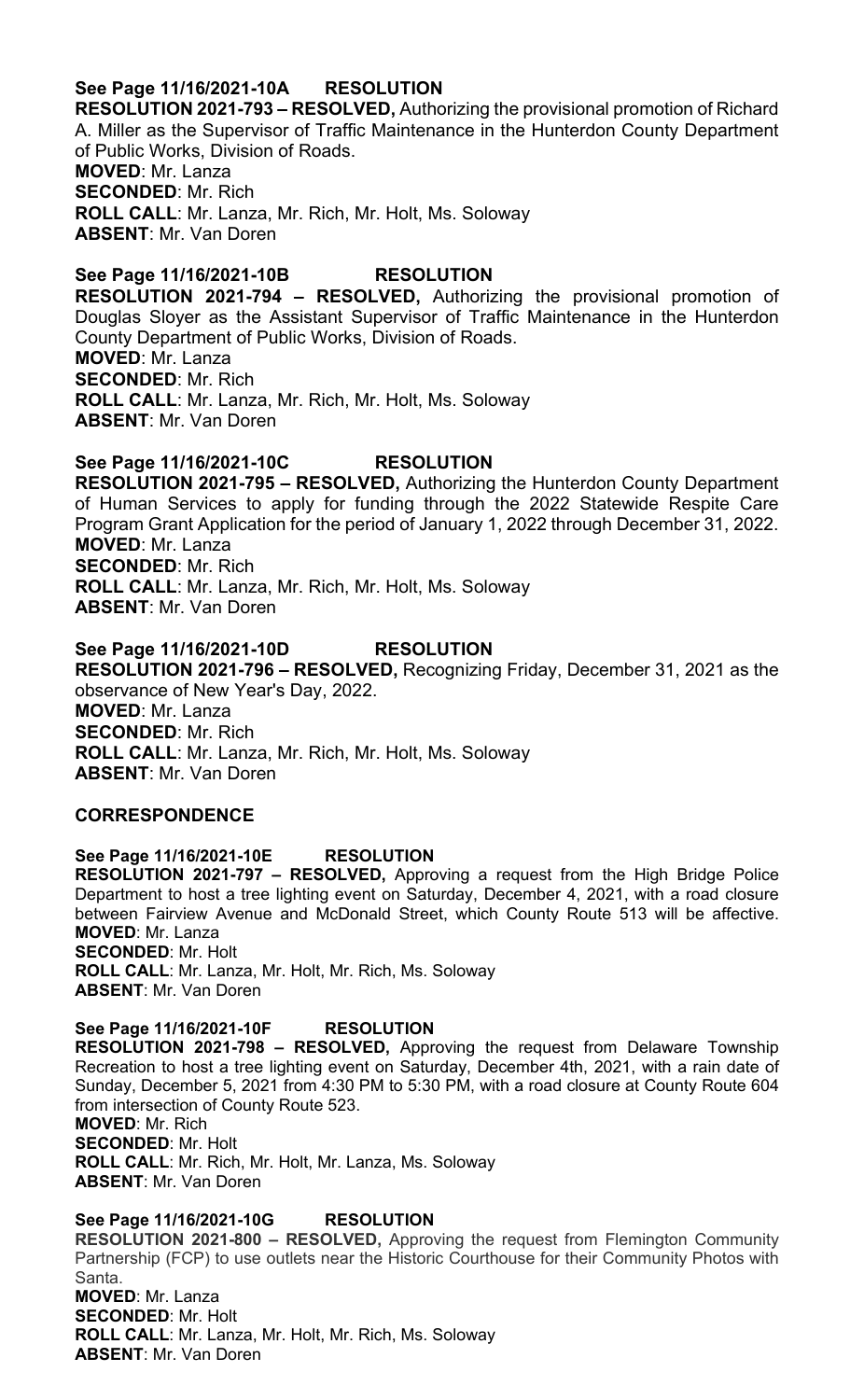### **See Page 11/16/2021-10A RESOLUTION**

**RESOLUTION 2021-793 – RESOLVED,** Authorizing the provisional promotion of Richard A. Miller as the Supervisor of Traffic Maintenance in the Hunterdon County Department of Public Works, Division of Roads. **MOVED**: Mr. Lanza

**SECONDED**: Mr. Rich **ROLL CALL**: Mr. Lanza, Mr. Rich, Mr. Holt, Ms. Soloway **ABSENT**: Mr. Van Doren

#### **See Page 11/16/2021-10B RESOLUTION**

**RESOLUTION 2021-794 – RESOLVED,** Authorizing the provisional promotion of Douglas Sloyer as the Assistant Supervisor of Traffic Maintenance in the Hunterdon County Department of Public Works, Division of Roads. **MOVED**: Mr. Lanza **SECONDED**: Mr. Rich **ROLL CALL**: Mr. Lanza, Mr. Rich, Mr. Holt, Ms. Soloway **ABSENT**: Mr. Van Doren

### **See Page 11/16/2021-10C RESOLUTION**

**RESOLUTION 2021-795 – RESOLVED,** Authorizing the Hunterdon County Department of Human Services to apply for funding through the 2022 Statewide Respite Care Program Grant Application for the period of January 1, 2022 through December 31, 2022. **MOVED**: Mr. Lanza **SECONDED**: Mr. Rich **ROLL CALL**: Mr. Lanza, Mr. Rich, Mr. Holt, Ms. Soloway **ABSENT**: Mr. Van Doren

**See Page 11/16/2021-10D RESOLUTION RESOLUTION 2021-796 – RESOLVED,** Recognizing Friday, December 31, 2021 as the observance of New Year's Day, 2022. **MOVED**: Mr. Lanza **SECONDED**: Mr. Rich **ROLL CALL**: Mr. Lanza, Mr. Rich, Mr. Holt, Ms. Soloway **ABSENT**: Mr. Van Doren

#### **CORRESPONDENCE**

**See Page 11/16/2021-10E RESOLUTION RESOLUTION 2021-797 – RESOLVED,** Approving a request from the High Bridge Police Department to host a tree lighting event on Saturday, December 4, 2021, with a road closure between Fairview Avenue and McDonald Street, which County Route 513 will be affective. **MOVED**: Mr. Lanza **SECONDED**: Mr. Holt **ROLL CALL**: Mr. Lanza, Mr. Holt, Mr. Rich, Ms. Soloway **ABSENT**: Mr. Van Doren

**See Page 11/16/2021-10F RESOLUTION RESOLUTION 2021-798 – RESOLVED,** Approving the request from Delaware Township Recreation to host a tree lighting event on Saturday, December 4th, 2021, with a rain date of Sunday, December 5, 2021 from 4:30 PM to 5:30 PM, with a road closure at County Route 604 from intersection of County Route 523. **MOVED**: Mr. Rich **SECONDED**: Mr. Holt **ROLL CALL**: Mr. Rich, Mr. Holt, Mr. Lanza, Ms. Soloway **ABSENT**: Mr. Van Doren

**See Page 11/16/2021-10G RESOLUTION RESOLUTION 2021-800 – RESOLVED,** Approving the request from Flemington Community Partnership (FCP) to use outlets near the Historic Courthouse for their Community Photos with Santa. **MOVED**: Mr. Lanza **SECONDED**: Mr. Holt **ROLL CALL**: Mr. Lanza, Mr. Holt, Mr. Rich, Ms. Soloway **ABSENT**: Mr. Van Doren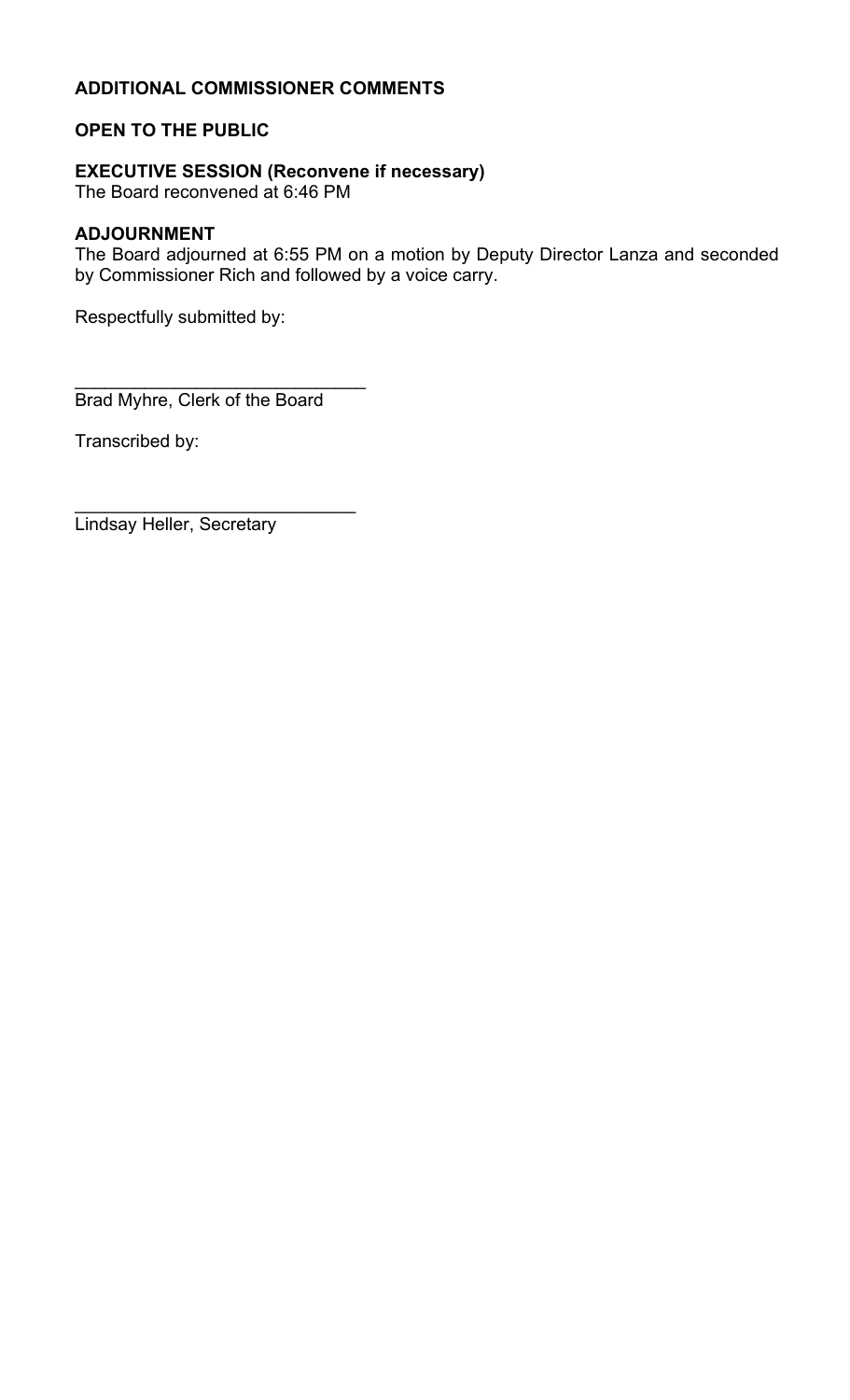# **ADDITIONAL COMMISSIONER COMMENTS**

# **OPEN TO THE PUBLIC**

# **EXECUTIVE SESSION (Reconvene if necessary)**

The Board reconvened at 6:46 PM

# **ADJOURNMENT**

The Board adjourned at 6:55 PM on a motion by Deputy Director Lanza and seconded by Commissioner Rich and followed by a voice carry.

Respectfully submitted by:

\_\_\_\_\_\_\_\_\_\_\_\_\_\_\_\_\_\_\_\_\_\_\_\_\_\_\_\_\_ Brad Myhre, Clerk of the Board

\_\_\_\_\_\_\_\_\_\_\_\_\_\_\_\_\_\_\_\_\_\_\_\_\_\_\_\_

Transcribed by:

Lindsay Heller, Secretary